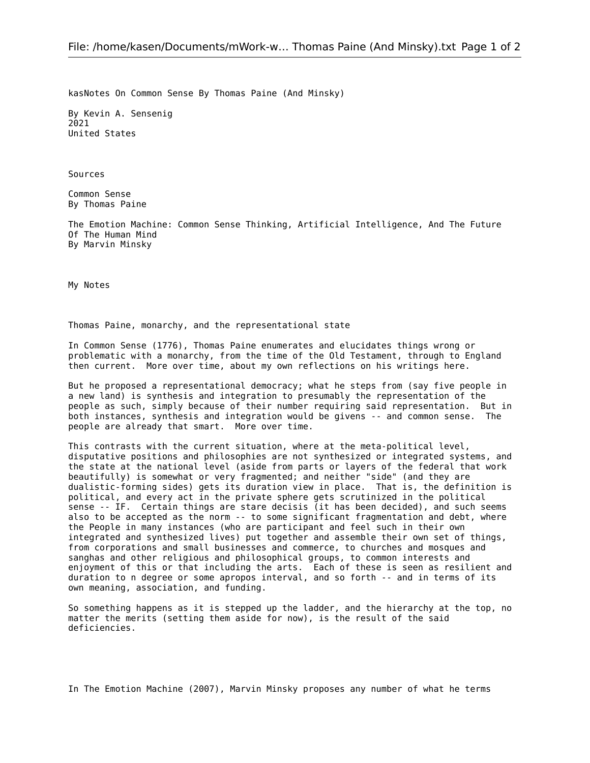kasNotes On Common Sense By Thomas Paine (And Minsky)

By Kevin A. Sensenig 2021 United States

Sources

Common Sense By Thomas Paine

The Emotion Machine: Common Sense Thinking, Artificial Intelligence, And The Future Of The Human Mind By Marvin Minsky

My Notes

Thomas Paine, monarchy, and the representational state

In Common Sense (1776), Thomas Paine enumerates and elucidates things wrong or problematic with a monarchy, from the time of the Old Testament, through to England then current. More over time, about my own reflections on his writings here.

But he proposed a representational democracy; what he steps from (say five people in a new land) is synthesis and integration to presumably the representation of the people as such, simply because of their number requiring said representation. But in both instances, synthesis and integration would be givens -- and common sense. The people are already that smart. More over time.

This contrasts with the current situation, where at the meta-political level, disputative positions and philosophies are not synthesized or integrated systems, and the state at the national level (aside from parts or layers of the federal that work beautifully) is somewhat or very fragmented; and neither "side" (and they are dualistic-forming sides) gets its duration view in place. That is, the definition is political, and every act in the private sphere gets scrutinized in the political sense -- IF. Certain things are stare decisis (it has been decided), and such seems also to be accepted as the norm -- to some significant fragmentation and debt, where the People in many instances (who are participant and feel such in their own integrated and synthesized lives) put together and assemble their own set of things, from corporations and small businesses and commerce, to churches and mosques and sanghas and other religious and philosophical groups, to common interests and enjoyment of this or that including the arts. Each of these is seen as resilient and duration to n degree or some apropos interval, and so forth -- and in terms of its own meaning, association, and funding.

So something happens as it is stepped up the ladder, and the hierarchy at the top, no matter the merits (setting them aside for now), is the result of the said deficiencies.

In The Emotion Machine (2007), Marvin Minsky proposes any number of what he terms